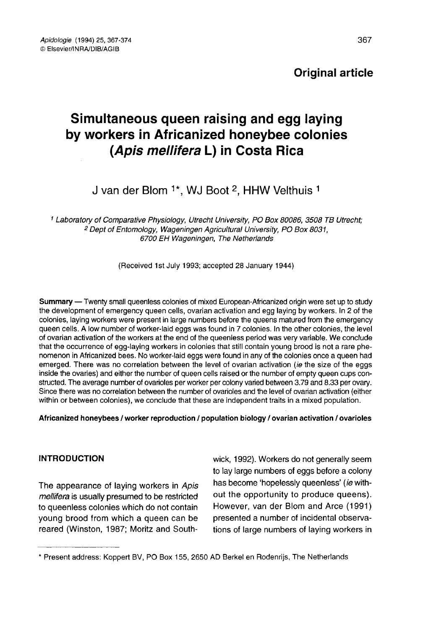# Original article

# Simultaneous queen raising and egg laying by workers in Africanized honeybee colonies (Apis mellifera L) in Costa Rica

# J van der Blom <sup>1\*</sup>, WJ Boot <sup>2</sup>, HHW Velthuis <sup>1</sup>

<sup>1</sup> Laboratory of Comparative Physiology, Utrecht University, PO Box 80086, 3508 TB Utrecht; <sup>2</sup> Dept of Entomology, Wageningen Agricultural University, PO Box 8031,<br>6700 EH Wageningen, The Netherlands

(Received 1st July 1993; accepted 28 January 1944)

Summary — Twenty small queenless colonies of mixed European-Africanized origin were set up to study the development of emergency queen cells, ovarian activation and egg laying by workers. In 2 of the colonies, laying workers were present in large numbers before the queens matured from the emergency queen cells. A low number of worker-laid eggs was found in 7 colonies. In the other colonies, the level of ovarian activation of the workers at the end of the queenless period was very variable. We conclude that the occurrence of egg-laying workers in colonies that still contain young brood is not a rare phe nomenon in Africanized bees. No worker-laid eggs were found in any of the colonies once a queen had emerged. There was no correlation between the level of ovarian activation (ie the size of the eggs inside the ovaries) and either the number of queen cells raised or the number of empty queen cups constructed. The average number of ovarioles per worker per colony varied between 3.79 and 8.33 per ovary. Since there was no correlation between the number of ovarioles and the level of ovarian activation (either within or between colonies), we conclude that these are independent traits in a mixed population.

#### Africanized honeybees / worker reproduction / population biology / ovarian activation / ovarioles

## INTRODUCTION

The appearance of laying workers in Apis mellifera is usually presumed to be restricted to queenless colonies which do not contain young brood from which a queen can be reared (Winston, 1987; Moritz and Southwick, 1992). Workers do not generally seem to lay large numbers of eggs before a colony has become 'hopelessly queenless' (ie without the opportunity to produce queens). However, van der Blom and Arce (1991) presented a number of incidental observations of large numbers of laying workers in

<sup>\*</sup> Present address: Koppert BV, PO Box 155, 2650 AD Berkel en Rodenrijs, The Netherlands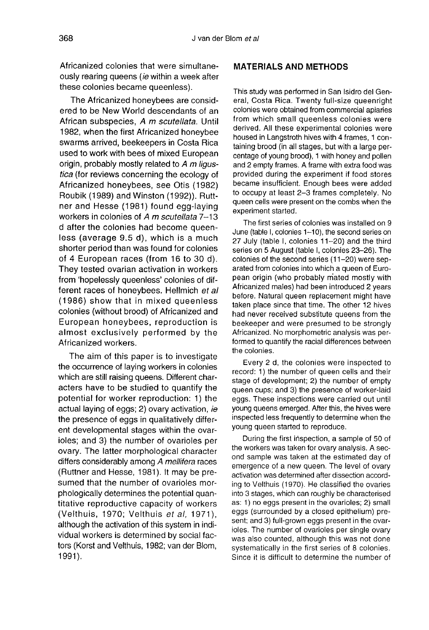Africanized colonies that were simultaneously rearing queens *(ie* within a week after these colonies became queenless).

The Africanized honeybees are considered to be New World descendants of an African subspecies, A m scutellata. Until 1982, when the first Africanized honeybee swarms arrived, beekeepers in Costa Rica used to work with bees of mixed European origin, probably mostly related to A m ligustica (for reviews concerning the ecology of Africanized honeybees, see Otis (1982) Roubik (1989) and Winston (1992)). Ruttner and Hesse (1981) found egg-laying workers in colonies of A m scutellata 7-13 d after the colonies had become queenless (average 9.5 d), which is a much shorter period than was found for colonies of 4 European races (from 16 to 30 d). They tested ovarian activation in workers from 'hopelessly queenless' colonies of different races of honeybees. Hellmich et al (1986) show that in mixed queenless colonies (without brood) of Africanized and European honeybees, reproduction is almost exclusively performed by the Africanized workers.

The aim of this paper is to investigate the occurrence of laying workers in colonies which are still raising queens. Different characters have to be studied to quantify the potential for worker reproduction: 1) the actual laying of eggs; 2) ovary activation, ie the presence of eggs in qualitatively different developmental stages within the ovarioles; and 3) the number of ovarioles per ovary. The latter morphological character differs considerably among A mellifera races (Ruttner and Hesse, 1981). It may be presumed that the number of ovarioles morphologically determines the potential quantitative reproductive capacity of workers (Velthuis, 1970; Velthuis et al, 1971), although the activation of this system in individual workers is determined by social factors (Korst and Velthuis, 1982; van der Blom, 1991).

#### MATERIALS AND METHODS

This study was performed in San Isidro del General, Costa Rica. Twenty full-size queenright colonies were obtained from commercial apiaries from which small queenless colonies were derived. All these experimental colonies were housed in Langstroth hives with 4 frames, 1 containing brood (in all stages, but with a large percentage of young brood), 1 with honey and pollen and 2 empty frames. A frame with extra food was provided during the experiment if food stores became insufficient. Enough bees were added to occupy at least 2-3 frames completely. No queen cells were present on the combs when the experiment started.

The first series of colonies was installed on 9 June (table I, colonies 1-10), the second series on 27 July (table I, colonies 11-20) and the third series on 5 August (table I, colonies 23-26). The colonies of the second series (11-20) were separated from colonies into which a queen of European origin (who probably mated mostly with Africanized males) had been introduced 2 years before. Natural queen replacement might have taken place since that time. The other 12 hives had never received substitute queens from the beekeeper and were presumed to be strongly Africanized. No morphometric analysis was performed to quantify the racial differences between the colonies.

Every 2 d, the colonies were inspected to record: 1) the number of queen cells and their stage of development; 2) the number of empty queen cups; and 3) the presence of worker-laid eggs. These inspections were carried out until young queens emerged. After this, the hives were inspected less frequently to determine when the young queen started to reproduce.

During the first inspection, a sample of 50 of the workers was taken for ovary analysis. A second sample was taken at the estimated day of emergence of a new queen. The level of ovary activation was determined after dissection according to Velthuis (1970). He classified the ovaries into 3 stages, which can roughly be characterised as: 1) no eggs present in the ovarioles; 2) small eggs (surrounded by a closed epithelium) present; and 3) full-grown eggs present in the ovarioles. The number of ovarioles per single ovary was also counted, although this was not done systematically in the first series of 8 colonies. Since it is difficult to determine the number of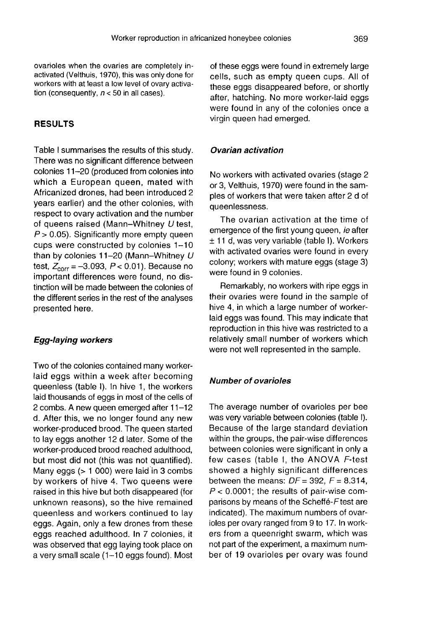ovarioles when the ovaries are completely inactivated (Velthuis, 1970), this was only done for workers with at least a low level of ovary activation (consequently,  $n < 50$  in all cases).

## RESULTS

Table I summarises the results of this study. There was no significant difference between colonies 11-20 (produced from colonies into which a European queen, mated with Africanized drones, had been introduced 2 years earlier) and the other colonies, with respect to ovary activation and the number of queens raised (Mann-Whitney U test,  $P > 0.05$ ). Significantly more empty queen cups were constructed by colonies 1-10 than by colonies 11-20 (Mann-Whitney U test,  $Z_{corr} = -3.093$ ,  $P < 0.01$ ). Because no important differences were found, no distinction will be made between the colonies of the different series in the rest of the analyses presented here.

#### Egg-laying workers

Two of the colonies contained many workerlaid eggs within a week after becoming queenless (table I). In hive 1, the workers laid thousands of eggs in most of the cells of 2 combs. A new queen emerged after 11-12 d. After this, we no longer found any new worker-produced brood. The queen started to lay eggs another 12 d later. Some of the worker-produced brood reached adulthood, but most did not (this was not quantified). Many eggs (> 1 000) were laid in 3 combs by workers of hive 4. Two queens were raised in this hive but both disappeared (for unknown reasons), so the hive remained queenless and workers continued to lay eggs. Again, only a few drones from these eggs reached adulthood. In 7 colonies, it was observed that egg laying took place on a very small scale  $(1-10$  eggs found). Most

of these eggs were found in extremely large cells, such as empty queen cups. All of these eggs disappeared before, or shortly after, hatching. No more worker-laid eggs were found in any of the colonies once a virgin queen had emerged.

#### Ovarian activation

No workers with activated ovaries (stage 2 or 3, Velthuis, 1970) were found in the samples of workers that were taken after 2 d of queenlessness.

The ovarian activation at the time of emergence of the first young queen, ie after ± 11 d, was very variable (table I). Workers with activated ovaries were found in every colony; workers with mature eggs (stage 3) were found in 9 colonies.

Remarkably, no workers with ripe eggs in their ovaries were found in the sample of hive 4, in which a large number of workerlaid eggs was found. This may indicate that reproduction in this hive was restricted to a relatively small number of workers which were not well represented in the sample.

#### Number of ovarioles

The average number of ovarioles per bee was very variable between colonies (table I). Because of the large standard deviation within the groups, the pair-wise differences between colonies were significant in only a few cases (table I, the ANOVA F-test showed a highly significant differences between the means:  $DF = 392$ ,  $F = 8.314$ ,  $P < 0.0001$ ; the results of pair-wise comparisons by means of the Scheffé-F test are indicated). The maximum numbers of ovarioles per ovary ranged from 9 to 17. In workers from a queenright swarm, which was not part of the experiment, a maximum number of 19 ovarioles per ovary was found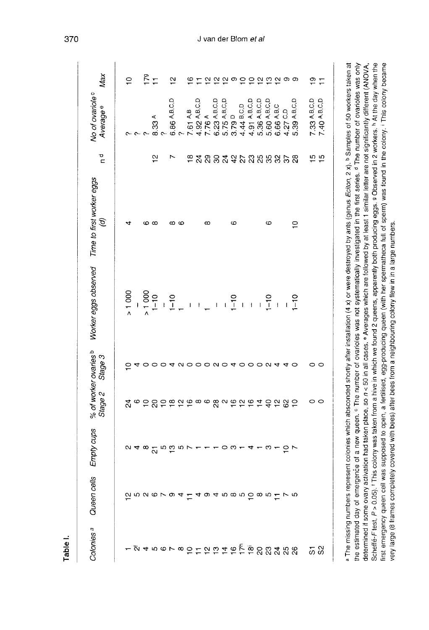| Colonies <sup>a</sup>                                                                               | Queen cells                                                                                                                                      | Empty cups              | Stage 2 | % of worker ovaries <sup>b</sup><br>Stage 3 | Worker eggs observed                                                                                                                                                                                                                                                                                                                                                             | Time to first worker eggs<br>$\mathcal{G}$ | ত<br>$\blacksquare$     | No of ovariole <sup>c</sup><br>Average <sup>e</sup> | Max                         |
|-----------------------------------------------------------------------------------------------------|--------------------------------------------------------------------------------------------------------------------------------------------------|-------------------------|---------|---------------------------------------------|----------------------------------------------------------------------------------------------------------------------------------------------------------------------------------------------------------------------------------------------------------------------------------------------------------------------------------------------------------------------------------|--------------------------------------------|-------------------------|-----------------------------------------------------|-----------------------------|
|                                                                                                     | $\tilde{\sigma}$ r $\alpha$ $\alpha$ r $\alpha$ r $\alpha$ $\alpha$ r $\alpha$ r $\alpha$ r $\alpha$ r $\alpha$ r $\alpha$ r $\alpha$ r $\alpha$ | ∾                       | র       | ∘                                           | > 1000                                                                                                                                                                                                                                                                                                                                                                           | 4                                          |                         | C<br>ᠬ                                              | <u>ុ</u>                    |
| قام ما به محمد الله عليه الله عليه الله عليه الله عليه الله عليه الله عليه الله عليه الله عليه الله |                                                                                                                                                  | ক ∞                     |         | 4<br>0                                      | > 1000                                                                                                                                                                                                                                                                                                                                                                           | ဖ                                          |                         | c                                                   | 179                         |
|                                                                                                     |                                                                                                                                                  | $\overline{\mathbf{c}}$ |         | $\circ$                                     | $1 - 10$                                                                                                                                                                                                                                                                                                                                                                         | $^\infty$                                  | $\frac{1}{2}$           | 8.33 <sup>A</sup>                                   | $\overline{1}$              |
|                                                                                                     |                                                                                                                                                  |                         |         |                                             | $\overline{1}$                                                                                                                                                                                                                                                                                                                                                                   |                                            |                         |                                                     |                             |
|                                                                                                     |                                                                                                                                                  | ra co a                 |         | ↴                                           | $1 - 10$                                                                                                                                                                                                                                                                                                                                                                         | ∞                                          | r                       | 6.86 A, B, C, D                                     | $\tilde{a}$                 |
|                                                                                                     |                                                                                                                                                  |                         |         | $\sim$                                      | $\overline{a}$                                                                                                                                                                                                                                                                                                                                                                   | $\circ$                                    |                         |                                                     |                             |
|                                                                                                     |                                                                                                                                                  |                         |         |                                             | $\mathbf{I}$                                                                                                                                                                                                                                                                                                                                                                     |                                            | $\frac{\infty}{\infty}$ | 7.61 A,B                                            | $\tilde{e}$                 |
|                                                                                                     |                                                                                                                                                  |                         |         |                                             | $\begin{array}{c} \rule{0pt}{2.5ex} \rule{0pt}{2.5ex} \rule{0pt}{2.5ex} \rule{0pt}{2.5ex} \rule{0pt}{2.5ex} \rule{0pt}{2.5ex} \rule{0pt}{2.5ex} \rule{0pt}{2.5ex} \rule{0pt}{2.5ex} \rule{0pt}{2.5ex} \rule{0pt}{2.5ex} \rule{0pt}{2.5ex} \rule{0pt}{2.5ex} \rule{0pt}{2.5ex} \rule{0pt}{2.5ex} \rule{0pt}{2.5ex} \rule{0pt}{2.5ex} \rule{0pt}{2.5ex} \rule{0pt}{2.5ex} \rule{0$ |                                            |                         | 4.92 A, B, C, D                                     |                             |
|                                                                                                     |                                                                                                                                                  |                         |         |                                             |                                                                                                                                                                                                                                                                                                                                                                                  | $\infty$                                   | $\frac{8}{2}$           | 7.76 A                                              | $\overline{\mathsf{c}}$     |
|                                                                                                     |                                                                                                                                                  |                         |         |                                             | $\mathbf{I}$                                                                                                                                                                                                                                                                                                                                                                     |                                            |                         | 6.23 A, B, C, D                                     |                             |
|                                                                                                     |                                                                                                                                                  |                         |         |                                             | $\mathbf{I}$                                                                                                                                                                                                                                                                                                                                                                     |                                            |                         | 5.75 A.B.C.D                                        |                             |
|                                                                                                     |                                                                                                                                                  | ၀ က +                   |         | 0000040                                     | $1 - 10$                                                                                                                                                                                                                                                                                                                                                                         | ဖ                                          |                         | 3.79 D                                              | ည္ ည တ                      |
|                                                                                                     |                                                                                                                                                  |                         |         |                                             | $\overline{1}$                                                                                                                                                                                                                                                                                                                                                                   |                                            |                         | 4.44 B.C.D                                          | $\epsilon$                  |
|                                                                                                     |                                                                                                                                                  | 4                       |         |                                             | $\overline{\phantom{a}}$                                                                                                                                                                                                                                                                                                                                                         |                                            |                         | 4.91 A.B.C.D                                        |                             |
|                                                                                                     |                                                                                                                                                  |                         |         | 00N4                                        | $\frac{1}{2}$                                                                                                                                                                                                                                                                                                                                                                    |                                            | នងទុងនាងន               | 5.36 A,B,C,D                                        | $\frac{1}{2}$ $\frac{1}{2}$ |
|                                                                                                     |                                                                                                                                                  | ო                       |         |                                             | $1 - 10$                                                                                                                                                                                                                                                                                                                                                                         | ဖ                                          |                         | 5.60 A.B.C.D                                        |                             |
|                                                                                                     |                                                                                                                                                  |                         | 282     |                                             | $\overline{1}$                                                                                                                                                                                                                                                                                                                                                                   |                                            | 85                      | 6.66 A.B.C                                          | က္က တ                       |
|                                                                                                     |                                                                                                                                                  | $rac{1}{2}$             |         | 4                                           | $\overline{1}$                                                                                                                                                                                                                                                                                                                                                                   |                                            |                         | 4.27 C.D                                            |                             |
|                                                                                                     |                                                                                                                                                  |                         |         | $\circ$                                     | $1 - 10$                                                                                                                                                                                                                                                                                                                                                                         | $\frac{1}{2}$                              | ಇ                       | 5.39 A.B.C.D                                        |                             |
|                                                                                                     |                                                                                                                                                  |                         | 0       |                                             |                                                                                                                                                                                                                                                                                                                                                                                  |                                            |                         | 7.33 A, B, C, D                                     |                             |
| 58                                                                                                  |                                                                                                                                                  |                         | $\circ$ | 00                                          |                                                                                                                                                                                                                                                                                                                                                                                  |                                            | <b>15</b><br>15         | 7.40 A,B,C,D                                        | $\frac{1}{2}$               |

Scheffe-F test, P > 0.05). I This colony was taken from a hive in which we found 2 queens, apparently both producing eggs. 9 Observed in 2 workers. In At the day when the first emergency queen cell was supposed to open, a fertilised, egg-producing queen (with her spermatheca full of sperm) was found in the colony. I This colony became

very large (8 frames completely covered with bees) after bees from a neighbouring colony flew in in a large numbers.

determined if some ovary activation had taken place, so  $n <$  50 in all cases. • Averages which are followed by at least 1 similar letter are not significantly different (ANOVA,

370

Table I.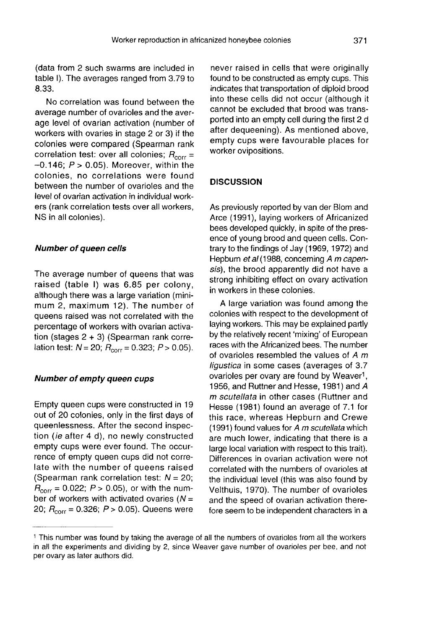(data from 2 such swarms are included in table I). The averages ranged from 3.79 to 8.33.

No correlation was found between the average number of ovarioles and the average level of ovarian activation (number of workers with ovaries in stage 2 or 3) if the colonies were compared (Spearman rank correlation test: over all colonies;  $R_{corr}=$  $-0.146$ ;  $P > 0.05$ ). Moreover, within the colonies, no correlations were found between the number of ovarioles and the level of ovarian activation in individual workers (rank correlation tests over all workers, NS in all colonies).

#### Number of queen cells

The average number of queens that was raised (table I) was 6.85 per colony,<br>although there was a large variation (minimum 2, maximum 12). The number of queens raised was not correlated with the percentage of workers with ovarian activation (stages 2 + 3) (Spearman rank correbendenlage of workers with ovarian activition (stages  $2 + 3$ ) (Spearman rank corridation test:  $N = 20$ ;  $R_{corr} = 0.323$ ;  $P > 0.05$ 

#### Number of empty queen cups

Empty queen cups were constructed in 19 out of 20 colonies, only in the first days of queenlessness. After the second inspection (ie after 4 d), no newly constructed empty cups were ever found. The occurrence of empty queen cups did not correlate with the number of queens raised (Spearman rank correlation test:  $N = 20$ ;  $R_{\text{corr}}$  = 0.022;  $P > 0.05$ ), or with the number of workers with activated ovaries ( $N =$ 20;  $R_{\text{corr}} = 0.326$ ;  $P > 0.05$ ). Queens were

never raised in cells that were originally found to be constructed as empty cups. This indicates that transportation of diploid brood into these cells did not occur (although it cannot be excluded that brood was transported into an empty cell during the first 2 d after dequeening). As mentioned above, empty cups were favourable places for worker ovipositions.

#### **DISCUSSION**

As previously reported by van der Blom and Arce (1991), laying workers of Africanized bees developed quickly, in spite of the presence of young brood and queen cells. Contrary to the findings of Jay (1969, 1972) and Hepburn et al (1988, concerning A m capensis), the brood apparently did not have a strong inhibiting effect on ovary activation in workers in these colonies.

A large variation was found among the colonies with respect to the development of laying workers. This may be explained partly by the relatively recent 'mixing' of European races with the Africanized bees. The number of ovarioles resembled the values of  $A$   $m$ ligustica in some cases (averages of 3.7 ovarioles per ovary are found by Weaver<sup>1</sup>, 1956, and Ruttner and Hesse, 1981) and A m scutellata in other cases (Ruttner and Hesse (1981) found an average of 7.1 for this race, whereas Hepburn and Crewe (1991) found values for  $A$  m scutellata which are much lower, indicating that there is a large local variation with respect to this trait). Differences in ovarian activation were not correlated with the numbers of ovarioles at the individual level (this was also found by Velthuis, 1970). The number of ovarioles and the speed of ovarian activation therefore seem to be independent characters in a

<sup>1</sup> This number was found by taking the average of all the numbers of ovarioles from all the workers in all the experiments and dividing by 2, since Weaver gave number of ovarioles per bee, and not per ovary as later authors did.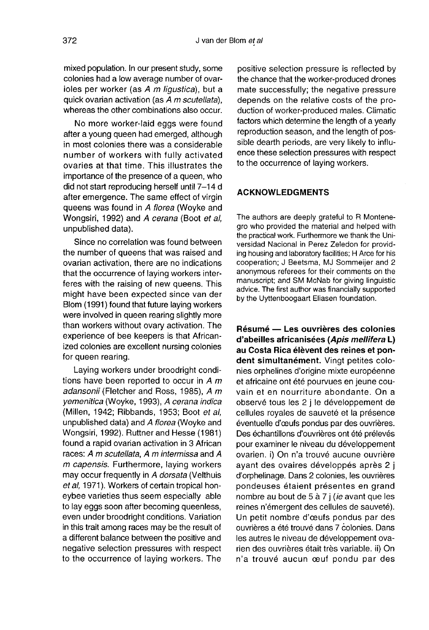mixed population. In our present study, some colonies had a low average number of ovarioles per worker (as A m ligustica), but a quick ovarian activation (as A m scutellata), whereas the other combinations also occur.

No more worker-laid eggs were found after a young queen had emerged, although in most colonies there was a considerable number of workers with fully activated ovaries at that time. This illustrates the importance of the presence of a queen, who did not start reproducing herself until 7-14 d after emergence. The same effect of virgin queens was found in A florea (Woyke and Wongsiri, 1992) and A cerana (Boot et al, unpublished data).

Since no correlation was found between the number of queens that was raised and ovarian activation, there are no indications that the occurrence of laying workers interferes with the raising of new queens. This might have been expected since van der Blom (1991) found that future laying workers were involved in queen rearing slightly more than workers without ovary activation. The experience of bee keepers is that Africanized colonies are excellent nursing colonies for queen rearing.

Laying workers under broodright conditions have been reported to occur in A m adansonii (Fletcher and Ross, 1985), A m yemenitica (Woyke, 1993), A cerana indica (Millen, 1942; Ribbands, 1953; Boot et al, unpublished data) and A florea (Woyke and Wongsiri, 1992). Ruttner and Hesse (1981) found a rapid ovarian activation in 3 African races: A m scutellata, A m intermissa and A m capensis. Furthermore, laying workers may occur frequently in A dorsata (Velthuis et al, 1971). Workers of certain tropical honeybee varieties thus seem especially able to lay eggs soon after becoming queenless, even under broodright conditions. Variation in this trait among races may be the result of a different balance between the positive and negative selection pressures with respect to the occurrence of laying workers. The

positive selection pressure is reflected by the chance that the worker-produced drones mate successfully; the negative pressure depends on the relative costs of the production of worker-produced males. Climatic factors which determine the length of a yearly reproduction season, and the length of possible dearth periods, are very likely to influence these selection pressures with respect to the occurrence of laying workers.

#### ACKNOWLEDGMENTS

The authors are deeply grateful to R Montenegro who provided the material and helped with the practical work. Furthermore we thank the Universidad Nacional in Perez Zeledon for providing housing and laboratory facilities; H Arce for his cooperation; J Beetsma, MJ Sommeijer and 2 anonymous referees for their comments on the manuscript; and SM McNab for giving linguistic advice. The first author was financially supported by the Uyttenboogaart Eliasen foundation.

Résumé — Les ouvrières des colonies d'abeilles africanisées (Apis mellifera L) au Costa Rica élèvent des reines et pondent simultanément. Vingt petites colonies orphelines d'origine mixte européenne et africaine ont été pourvues en jeune couvain et en nourriture abondante. On a observé tous les 2 j le développement de cellules royales de sauveté et la présence éventuelle d'oeufs pondus par des ouvrières. Des échantillons d'ouvrières ont été prélevés pour examiner le niveau du développement ovarien. i) On n'a trouvé aucune ouvrière ayant des ovaires développés après 2 j d'orphelinage. Dans 2 colonies, les ouvrières pondeuses étaient présentes en grand nombre au bout de 5 à 7 j (ie avant que les reines n'émergent des cellules de sauveté). Un petit nombre d'oeufs pondus par des ouvrières a été trouvé dans 7 colonies. Dans les autres le niveau de développement ovarien des ouvrières était très variable. ii) On n'a trouvé aucun œuf pondu par des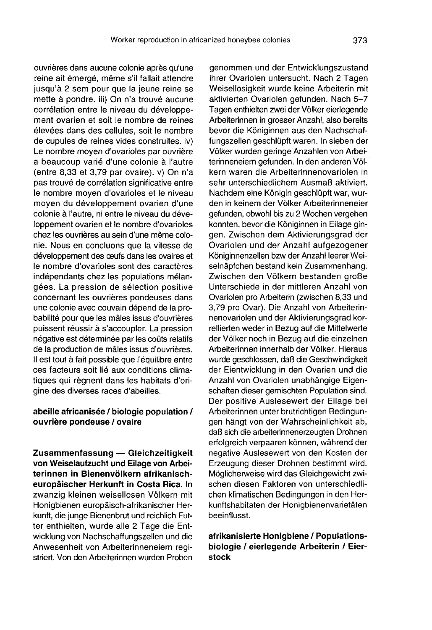ouvrières dans aucune colonie après qu'une reine ait émergé, même s'il fallait attendre jusqu'à 2 sem pour que la jeune reine se mette à pondre. iii) On n'a trouvé aucune corrélation entre le niveau du développement ovarien et soit le nombre de reines élevées dans des cellules, soit le nombre de cupules de reines vides construites. iv) Le nombre moyen d'ovarioles par ouvrière a beaucoup varié d'une colonie à l'autre (entre 8,33 et 3,79 par ovaire). v) On n'a pas trouvé de corrélation significative entre le nombre moyen d'ovarioles et le niveau moyen du développement ovarien d'une colonie à l'autre, ni entre le niveau du développement ovarien et le nombre d'ovarioles chez les ouvrières au sein d'une même colonie. Nous en concluons que la vitesse de développement des oeufs dans les ovaires et le nombre d'ovarioles sont des caractères indépendants chez les populations mélangées. La pression de sélection positive concernant les ouvrières pondeuses dans une colonie avec couvain dépend de la probabilité pour que les mâles issus d'ouvrières puissent réussir à s'accoupler. La pression négative est déterminée par les coûts relatifs de la production de mâles issus d'ouvrières. Il est tout à fait possible que l'équilibre entre ces facteurs soit lié aux conditions climatiques qui règnent dans les habitats d'origine des diverses races d'abeilles.

### abeille africanisée / biologie population / ouvrière pondeuse / ovaire

Zusammenfassung — Gleichzeitigkeit von Weiselaufzucht und Eilage von Arbeiterinnen in Bienenvölkern afrikanischeuropäischer Herkunft in Costa Rica. In zwanzig kleinen weisellosen Völkern mit Honigbienen europäisch-afrikanischer Herkunft, die junge Bienenbrut und reichlich Futter enthielten, wurde alle 2 Tage die Entwicklung von Nachschaffungszellen und die Anwesenheit von Arbeiterinneneiern registriert. Von den Arbeiterinnen wurden Proben

genommen und der Entwicklungszustand ihrer Ovariolen untersucht. Nach 2 Tagen Weisellosigkeit wurde keine Arbeiterin mit aktivierten Ovariolen gefunden. Nach 5-7 Tagen enthielten zwei der Völker eierlegende Arbeiterinnen in grosser Anzahl, also bereits bevor die Königinnen aus den Nachschaffungszellen geschlüpft waren. In sieben der Völker wurden geringe Anzahlen von Arbeiterinneneiern gefunden. In den anderen Völkern waren die Arbeiterinnenovariolen in sehr unterschiedlichem Ausmaß aktiviert. Nachdem eine Königin geschlüpft war, wurden in keinem der Völker Arbeiterinneneier gefunden, obwohl bis zu 2 Wochen vergehen konnten, bevor die Königinnen in Eilage gingen. Zwischen dem Aktivierungsgrad der Ovariolen und der Anzahl aufgezogener Königinnenzellen bzw der Anzahl leerer Weiselnäpfchen bestand kein Zusammenhang. Zwischen den Völkern bestanden große Unterschiede in der mittleren Anzahl von Ovariolen pro Arbeiterin (zwischen 8,33 und 3,79 pro Ovar). Die Anzahl von Arbeiterinnenovariolen und der Aktivierungsgrad korrellierten weder in Bezug auf die Mittelwerte der Völker noch in Bezug auf die einzelnen Arbeiterinnen innerhalb der Völker. Hieraus wurde geschlossen, daß die Geschwindigkeit der Eientwicklung in den Ovarien und die Anzahl von Ovariolen unabhängige Eigenschaften dieser gemischten Population sind. Der positive Auslesewert der Eilage bei Arbeiterinnen unter brutrichtigen Bedingungen hängt von der Wahrscheinlichkeit ab, daß sich die arbeiterinnenerzeugten Drohnen erfolgreich verpaaren können, während der negative Auslesewert von den Kosten der Erzeugung dieser Drohnen bestimmt wird. Möglicherweise wird das Gleichgewicht zwischen diesen Faktoren von unterschiedlichen klimatischen Bedingungen in den Herkunftshabitaten der Honigbienenvarietäten beeinflusst.

afrikanisierte Honigbiene / Populationsbiologie / eierlegende Arbeiterin / Eierstock